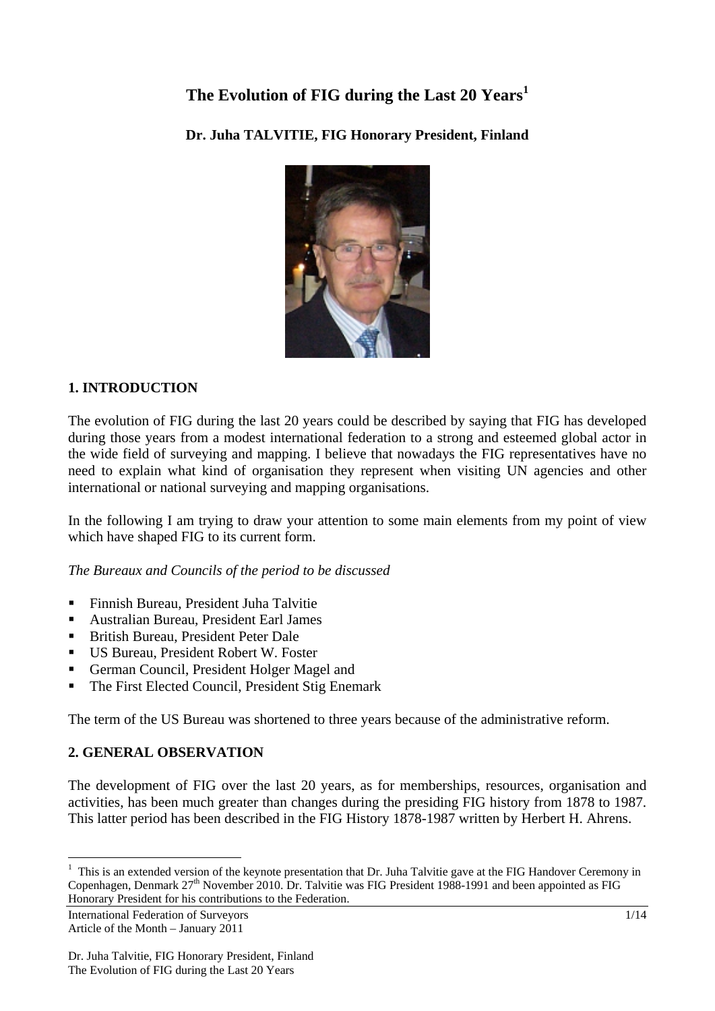# **The Evolution of FIG during the Last 20 Years<sup>1</sup>**

# **Dr. Juha TALVITIE, FIG Honorary President, Finland**



## **1. INTRODUCTION**

The evolution of FIG during the last 20 years could be described by saying that FIG has developed during those years from a modest international federation to a strong and esteemed global actor in the wide field of surveying and mapping. I believe that nowadays the FIG representatives have no need to explain what kind of organisation they represent when visiting UN agencies and other international or national surveying and mapping organisations.

In the following I am trying to draw your attention to some main elements from my point of view which have shaped FIG to its current form.

*The Bureaux and Councils of the period to be discussed* 

- Finnish Bureau, President Juha Talvitie
- Australian Bureau, President Earl James
- **British Bureau, President Peter Dale**
- US Bureau, President Robert W. Foster
- German Council, President Holger Magel and
- The First Elected Council, President Stig Enemark

The term of the US Bureau was shortened to three years because of the administrative reform.

# **2. GENERAL OBSERVATION**

The development of FIG over the last 20 years, as for memberships, resources, organisation and activities, has been much greater than changes during the presiding FIG history from 1878 to 1987. This latter period has been described in the FIG History 1878-1987 written by Herbert H. Ahrens.

 $\overline{a}$ 

 $1$  This is an extended version of the keynote presentation that Dr. Juha Talvitie gave at the FIG Handover Ceremony in Copenhagen, Denmark 27<sup>th</sup> November 2010. Dr. Talvitie was FIG President 1988-1991 and been appointed as FIG Honorary President for his contributions to the Federation.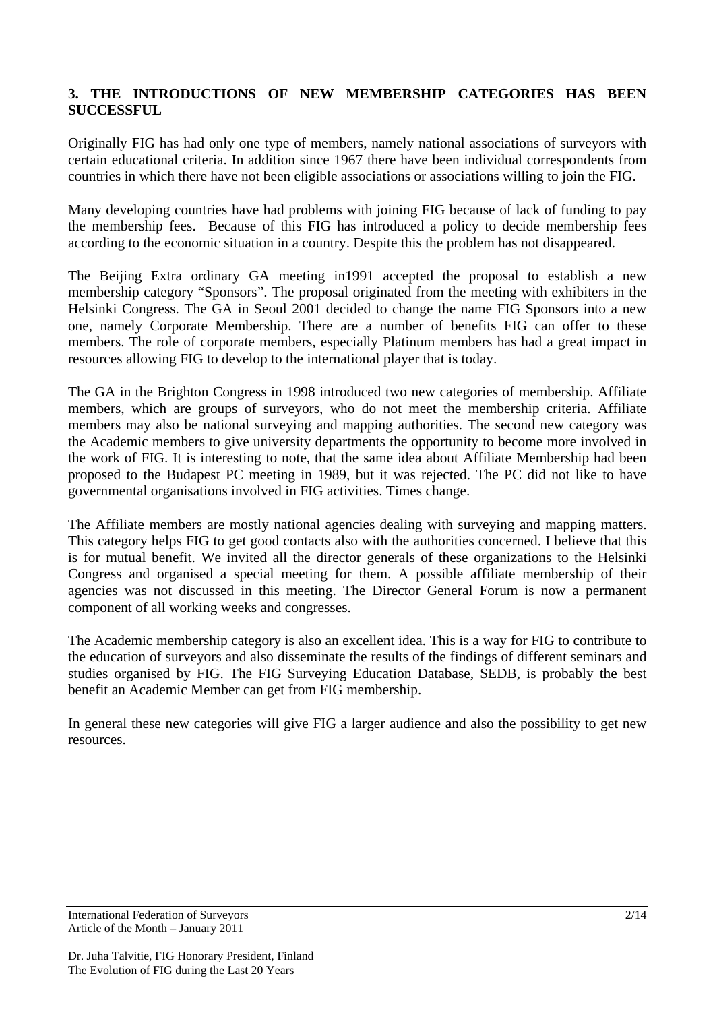## **3. THE INTRODUCTIONS OF NEW MEMBERSHIP CATEGORIES HAS BEEN SUCCESSFUL**

Originally FIG has had only one type of members, namely national associations of surveyors with certain educational criteria. In addition since 1967 there have been individual correspondents from countries in which there have not been eligible associations or associations willing to join the FIG.

Many developing countries have had problems with joining FIG because of lack of funding to pay the membership fees. Because of this FIG has introduced a policy to decide membership fees according to the economic situation in a country. Despite this the problem has not disappeared.

The Beijing Extra ordinary GA meeting in1991 accepted the proposal to establish a new membership category "Sponsors". The proposal originated from the meeting with exhibiters in the Helsinki Congress. The GA in Seoul 2001 decided to change the name FIG Sponsors into a new one, namely Corporate Membership. There are a number of benefits FIG can offer to these members. The role of corporate members, especially Platinum members has had a great impact in resources allowing FIG to develop to the international player that is today.

The GA in the Brighton Congress in 1998 introduced two new categories of membership. Affiliate members, which are groups of surveyors, who do not meet the membership criteria. Affiliate members may also be national surveying and mapping authorities. The second new category was the Academic members to give university departments the opportunity to become more involved in the work of FIG. It is interesting to note, that the same idea about Affiliate Membership had been proposed to the Budapest PC meeting in 1989, but it was rejected. The PC did not like to have governmental organisations involved in FIG activities. Times change.

The Affiliate members are mostly national agencies dealing with surveying and mapping matters. This category helps FIG to get good contacts also with the authorities concerned. I believe that this is for mutual benefit. We invited all the director generals of these organizations to the Helsinki Congress and organised a special meeting for them. A possible affiliate membership of their agencies was not discussed in this meeting. The Director General Forum is now a permanent component of all working weeks and congresses.

The Academic membership category is also an excellent idea. This is a way for FIG to contribute to the education of surveyors and also disseminate the results of the findings of different seminars and studies organised by FIG. The FIG Surveying Education Database, SEDB, is probably the best benefit an Academic Member can get from FIG membership.

In general these new categories will give FIG a larger audience and also the possibility to get new resources.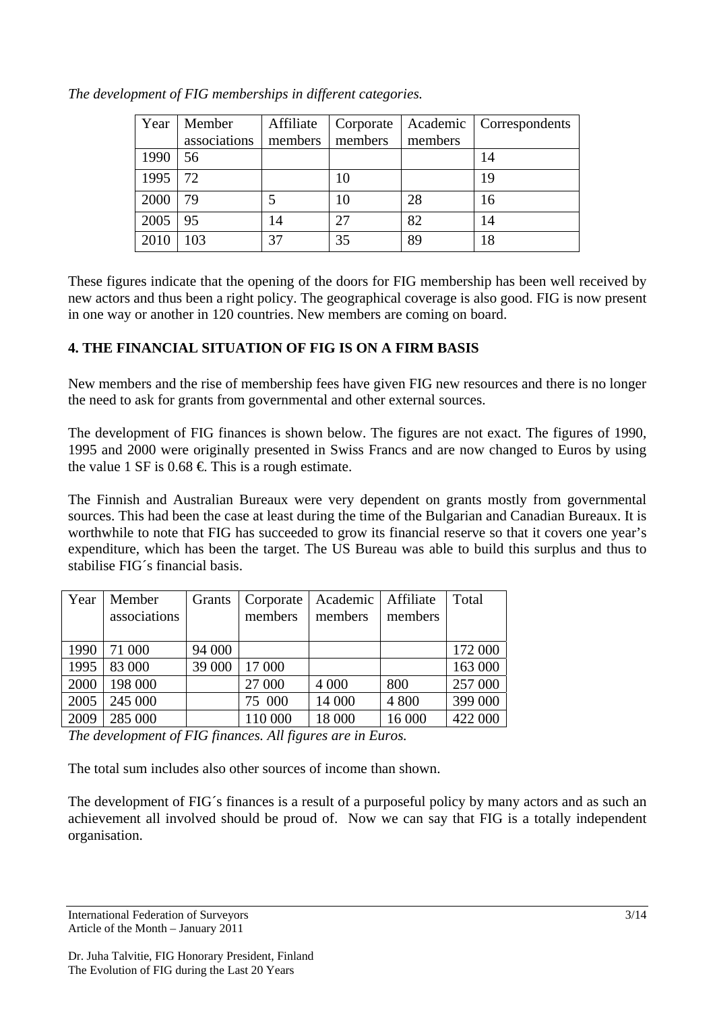| Year | Member       | Affiliate | Corporate |         | Academic   Correspondents |
|------|--------------|-----------|-----------|---------|---------------------------|
|      | associations | members   | members   | members |                           |
| 1990 | 56           |           |           |         | 14                        |
| 1995 | 72           |           | 10        |         | 19                        |
| 2000 | 79           |           | 10        | 28      | 16                        |
| 2005 | 95           | 14        | 27        | 82      | 14                        |
| 2010 | 103          | 37        | 35        | 89      | 18                        |

*The development of FIG memberships in different categories.* 

These figures indicate that the opening of the doors for FIG membership has been well received by new actors and thus been a right policy. The geographical coverage is also good. FIG is now present in one way or another in 120 countries. New members are coming on board.

## **4. THE FINANCIAL SITUATION OF FIG IS ON A FIRM BASIS**

New members and the rise of membership fees have given FIG new resources and there is no longer the need to ask for grants from governmental and other external sources.

The development of FIG finances is shown below. The figures are not exact. The figures of 1990, 1995 and 2000 were originally presented in Swiss Francs and are now changed to Euros by using the value 1 SF is  $0.68 \in$  This is a rough estimate.

The Finnish and Australian Bureaux were very dependent on grants mostly from governmental sources. This had been the case at least during the time of the Bulgarian and Canadian Bureaux. It is worthwhile to note that FIG has succeeded to grow its financial reserve so that it covers one year's expenditure, which has been the target. The US Bureau was able to build this surplus and thus to stabilise FIG´s financial basis.

| Year | Member       | Grants | Corporate | Academic   Affiliate |         | Total   |
|------|--------------|--------|-----------|----------------------|---------|---------|
|      | associations |        | members   | members              | members |         |
|      |              |        |           |                      |         |         |
| 1990 | 71 000       | 94 000 |           |                      |         | 172 000 |
| 1995 | 83 000       | 39 000 | 17 000    |                      |         | 163 000 |
| 2000 | 198 000      |        | 27 000    | 4 0 0 0              | 800     | 257 000 |
| 2005 | 245 000      |        | 75 000    | 14 000               | 4 800   | 399 000 |
| 2009 | 285 000      |        | 110 000   | 18 000               | 16 000  | 422 000 |

*The development of FIG finances. All figures are in Euros.*

The total sum includes also other sources of income than shown.

The development of FIG´s finances is a result of a purposeful policy by many actors and as such an achievement all involved should be proud of. Now we can say that FIG is a totally independent organisation.

International Federation of Surveyors 3/14 Article of the Month – January 2011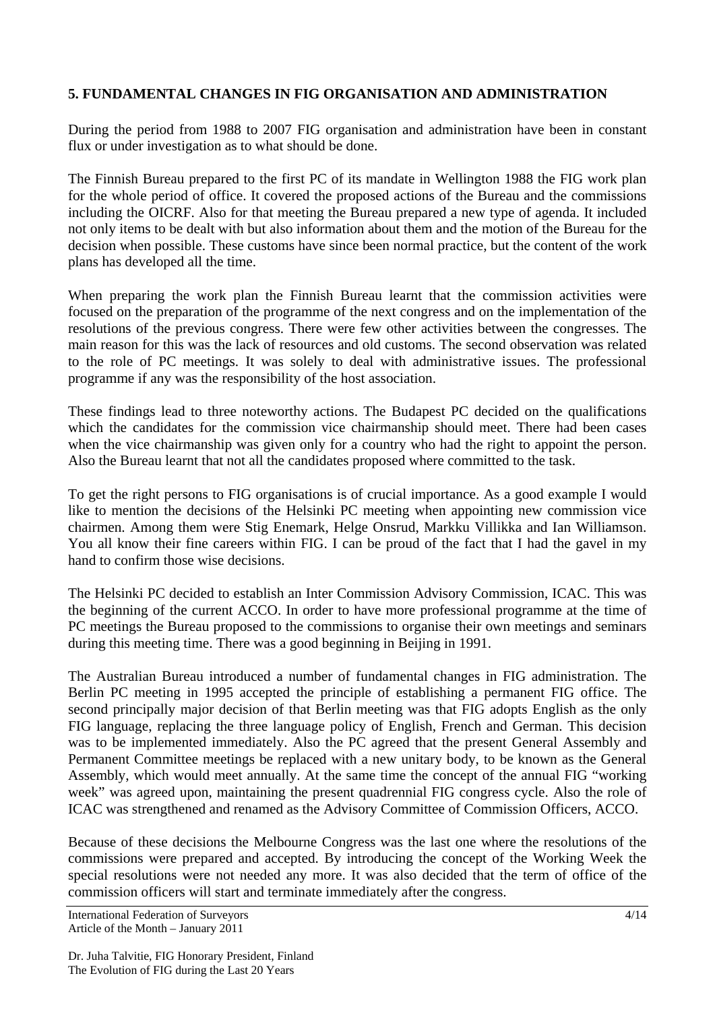## **5. FUNDAMENTAL CHANGES IN FIG ORGANISATION AND ADMINISTRATION**

During the period from 1988 to 2007 FIG organisation and administration have been in constant flux or under investigation as to what should be done.

The Finnish Bureau prepared to the first PC of its mandate in Wellington 1988 the FIG work plan for the whole period of office. It covered the proposed actions of the Bureau and the commissions including the OICRF. Also for that meeting the Bureau prepared a new type of agenda. It included not only items to be dealt with but also information about them and the motion of the Bureau for the decision when possible. These customs have since been normal practice, but the content of the work plans has developed all the time.

When preparing the work plan the Finnish Bureau learnt that the commission activities were focused on the preparation of the programme of the next congress and on the implementation of the resolutions of the previous congress. There were few other activities between the congresses. The main reason for this was the lack of resources and old customs. The second observation was related to the role of PC meetings. It was solely to deal with administrative issues. The professional programme if any was the responsibility of the host association.

These findings lead to three noteworthy actions. The Budapest PC decided on the qualifications which the candidates for the commission vice chairmanship should meet. There had been cases when the vice chairmanship was given only for a country who had the right to appoint the person. Also the Bureau learnt that not all the candidates proposed where committed to the task.

To get the right persons to FIG organisations is of crucial importance. As a good example I would like to mention the decisions of the Helsinki PC meeting when appointing new commission vice chairmen. Among them were Stig Enemark, Helge Onsrud, Markku Villikka and Ian Williamson. You all know their fine careers within FIG. I can be proud of the fact that I had the gavel in my hand to confirm those wise decisions.

The Helsinki PC decided to establish an Inter Commission Advisory Commission, ICAC. This was the beginning of the current ACCO. In order to have more professional programme at the time of PC meetings the Bureau proposed to the commissions to organise their own meetings and seminars during this meeting time. There was a good beginning in Beijing in 1991.

The Australian Bureau introduced a number of fundamental changes in FIG administration. The Berlin PC meeting in 1995 accepted the principle of establishing a permanent FIG office. The second principally major decision of that Berlin meeting was that FIG adopts English as the only FIG language, replacing the three language policy of English, French and German. This decision was to be implemented immediately. Also the PC agreed that the present General Assembly and Permanent Committee meetings be replaced with a new unitary body, to be known as the General Assembly, which would meet annually. At the same time the concept of the annual FIG "working week" was agreed upon, maintaining the present quadrennial FIG congress cycle. Also the role of ICAC was strengthened and renamed as the Advisory Committee of Commission Officers, ACCO.

Because of these decisions the Melbourne Congress was the last one where the resolutions of the commissions were prepared and accepted. By introducing the concept of the Working Week the special resolutions were not needed any more. It was also decided that the term of office of the commission officers will start and terminate immediately after the congress.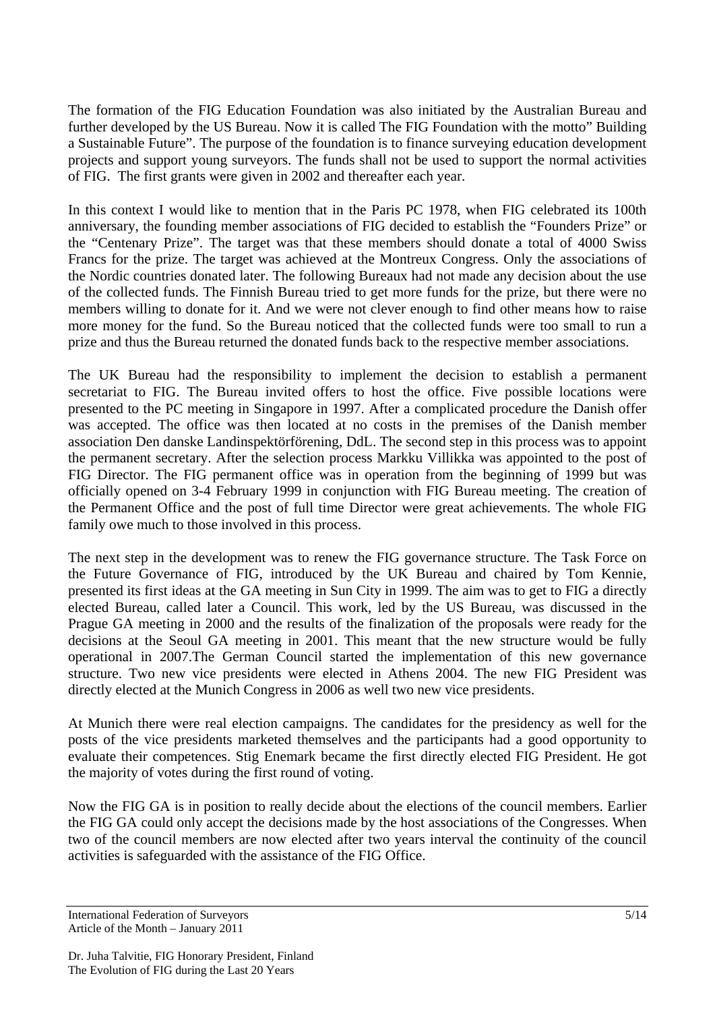The formation of the FIG Education Foundation was also initiated by the Australian Bureau and further developed by the US Bureau. Now it is called The FIG Foundation with the motto" Building a Sustainable Future". The purpose of the foundation is to finance surveying education development projects and support young surveyors. The funds shall not be used to support the normal activities of FIG. The first grants were given in 2002 and thereafter each year.

In this context I would like to mention that in the Paris PC 1978, when FIG celebrated its 100th anniversary, the founding member associations of FIG decided to establish the "Founders Prize" or the "Centenary Prize". The target was that these members should donate a total of 4000 Swiss Francs for the prize. The target was achieved at the Montreux Congress. Only the associations of the Nordic countries donated later. The following Bureaux had not made any decision about the use of the collected funds. The Finnish Bureau tried to get more funds for the prize, but there were no members willing to donate for it. And we were not clever enough to find other means how to raise more money for the fund. So the Bureau noticed that the collected funds were too small to run a prize and thus the Bureau returned the donated funds back to the respective member associations.

The UK Bureau had the responsibility to implement the decision to establish a permanent secretariat to FIG. The Bureau invited offers to host the office. Five possible locations were presented to the PC meeting in Singapore in 1997. After a complicated procedure the Danish offer was accepted. The office was then located at no costs in the premises of the Danish member association Den danske Landinspektörförening, DdL. The second step in this process was to appoint the permanent secretary. After the selection process Markku Villikka was appointed to the post of FIG Director. The FIG permanent office was in operation from the beginning of 1999 but was officially opened on 3-4 February 1999 in conjunction with FIG Bureau meeting. The creation of the Permanent Office and the post of full time Director were great achievements. The whole FIG family owe much to those involved in this process.

The next step in the development was to renew the FIG governance structure. The Task Force on the Future Governance of FIG, introduced by the UK Bureau and chaired by Tom Kennie, presented its first ideas at the GA meeting in Sun City in 1999. The aim was to get to FIG a directly elected Bureau, called later a Council. This work, led by the US Bureau, was discussed in the Prague GA meeting in 2000 and the results of the finalization of the proposals were ready for the decisions at the Seoul GA meeting in 2001. This meant that the new structure would be fully operational in 2007.The German Council started the implementation of this new governance structure. Two new vice presidents were elected in Athens 2004. The new FIG President was directly elected at the Munich Congress in 2006 as well two new vice presidents.

At Munich there were real election campaigns. The candidates for the presidency as well for the posts of the vice presidents marketed themselves and the participants had a good opportunity to evaluate their competences. Stig Enemark became the first directly elected FIG President. He got the majority of votes during the first round of voting.

Now the FIG GA is in position to really decide about the elections of the council members. Earlier the FIG GA could only accept the decisions made by the host associations of the Congresses. When two of the council members are now elected after two years interval the continuity of the council activities is safeguarded with the assistance of the FIG Office.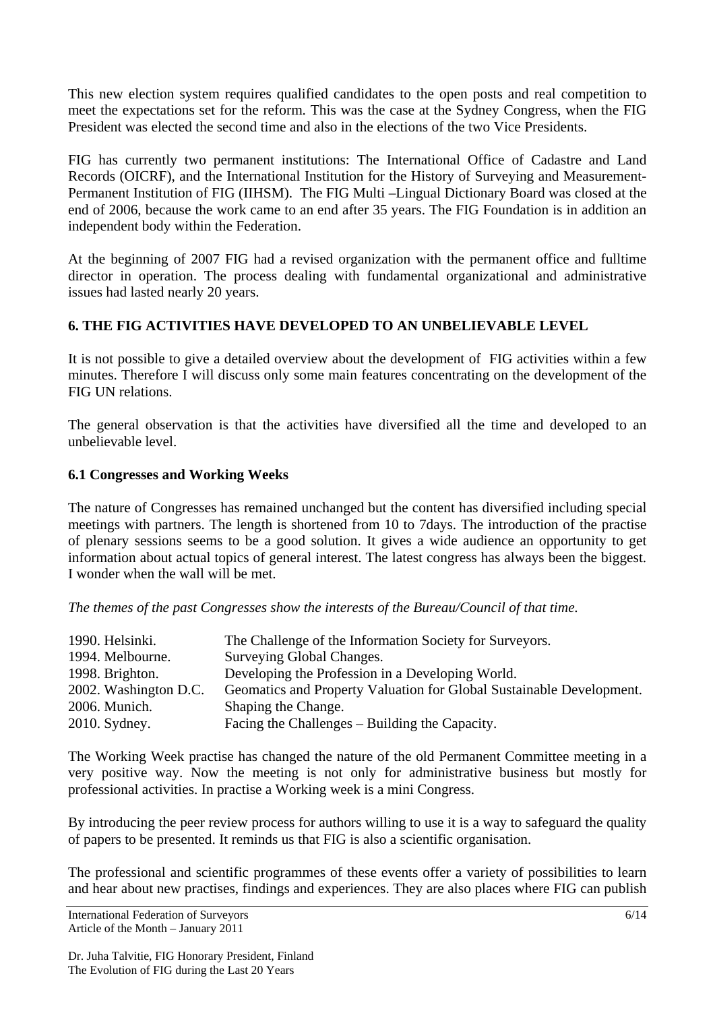This new election system requires qualified candidates to the open posts and real competition to meet the expectations set for the reform. This was the case at the Sydney Congress, when the FIG President was elected the second time and also in the elections of the two Vice Presidents.

FIG has currently two permanent institutions: The International Office of Cadastre and Land Records (OICRF), and the International Institution for the History of Surveying and Measurement-Permanent Institution of FIG (IIHSM). The FIG Multi –Lingual Dictionary Board was closed at the end of 2006, because the work came to an end after 35 years. The FIG Foundation is in addition an independent body within the Federation.

At the beginning of 2007 FIG had a revised organization with the permanent office and fulltime director in operation. The process dealing with fundamental organizational and administrative issues had lasted nearly 20 years.

# **6. THE FIG ACTIVITIES HAVE DEVELOPED TO AN UNBELIEVABLE LEVEL**

It is not possible to give a detailed overview about the development of FIG activities within a few minutes. Therefore I will discuss only some main features concentrating on the development of the FIG UN relations.

The general observation is that the activities have diversified all the time and developed to an unbelievable level.

## **6.1 Congresses and Working Weeks**

The nature of Congresses has remained unchanged but the content has diversified including special meetings with partners. The length is shortened from 10 to 7days. The introduction of the practise of plenary sessions seems to be a good solution. It gives a wide audience an opportunity to get information about actual topics of general interest. The latest congress has always been the biggest. I wonder when the wall will be met.

*The themes of the past Congresses show the interests of the Bureau/Council of that time.* 

| 1990. Helsinki.       | The Challenge of the Information Society for Surveyors.              |
|-----------------------|----------------------------------------------------------------------|
| 1994. Melbourne.      | Surveying Global Changes.                                            |
| 1998. Brighton.       | Developing the Profession in a Developing World.                     |
| 2002. Washington D.C. | Geomatics and Property Valuation for Global Sustainable Development. |
| 2006. Munich.         | Shaping the Change.                                                  |
| $2010.$ Sydney.       | Facing the Challenges – Building the Capacity.                       |

The Working Week practise has changed the nature of the old Permanent Committee meeting in a very positive way. Now the meeting is not only for administrative business but mostly for professional activities. In practise a Working week is a mini Congress.

By introducing the peer review process for authors willing to use it is a way to safeguard the quality of papers to be presented. It reminds us that FIG is also a scientific organisation.

The professional and scientific programmes of these events offer a variety of possibilities to learn and hear about new practises, findings and experiences. They are also places where FIG can publish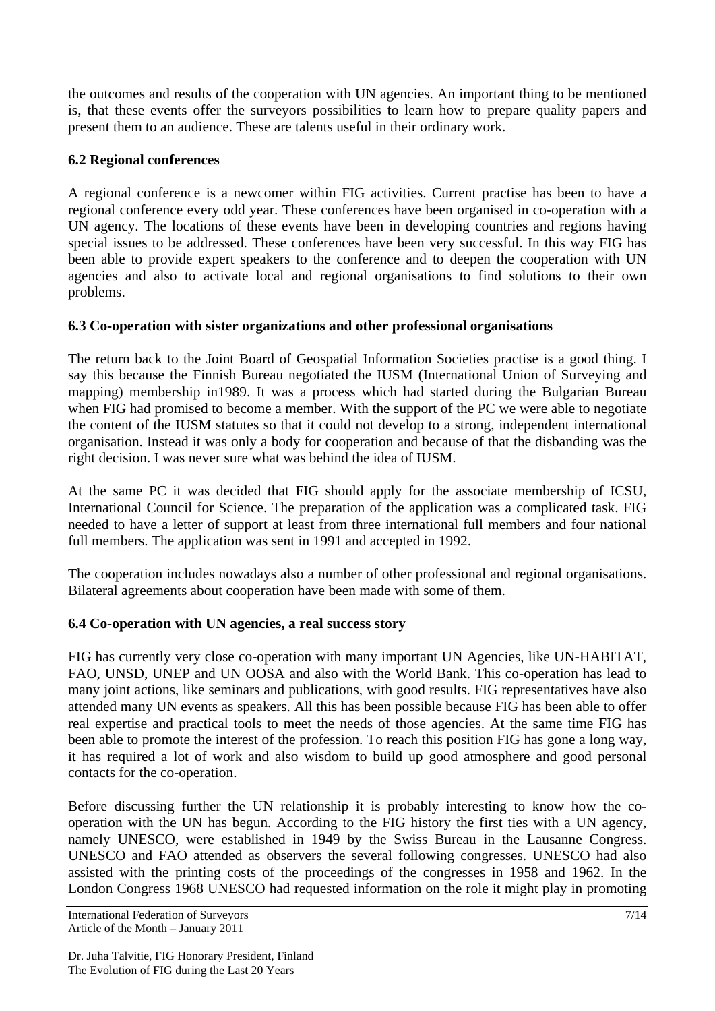the outcomes and results of the cooperation with UN agencies. An important thing to be mentioned is, that these events offer the surveyors possibilities to learn how to prepare quality papers and present them to an audience. These are talents useful in their ordinary work.

## **6.2 Regional conferences**

A regional conference is a newcomer within FIG activities. Current practise has been to have a regional conference every odd year. These conferences have been organised in co-operation with a UN agency. The locations of these events have been in developing countries and regions having special issues to be addressed. These conferences have been very successful. In this way FIG has been able to provide expert speakers to the conference and to deepen the cooperation with UN agencies and also to activate local and regional organisations to find solutions to their own problems.

## **6.3 Co-operation with sister organizations and other professional organisations**

The return back to the Joint Board of Geospatial Information Societies practise is a good thing. I say this because the Finnish Bureau negotiated the IUSM (International Union of Surveying and mapping) membership in1989. It was a process which had started during the Bulgarian Bureau when FIG had promised to become a member. With the support of the PC we were able to negotiate the content of the IUSM statutes so that it could not develop to a strong, independent international organisation. Instead it was only a body for cooperation and because of that the disbanding was the right decision. I was never sure what was behind the idea of IUSM.

At the same PC it was decided that FIG should apply for the associate membership of ICSU, International Council for Science. The preparation of the application was a complicated task. FIG needed to have a letter of support at least from three international full members and four national full members. The application was sent in 1991 and accepted in 1992.

The cooperation includes nowadays also a number of other professional and regional organisations. Bilateral agreements about cooperation have been made with some of them.

#### **6.4 Co-operation with UN agencies, a real success story**

FIG has currently very close co-operation with many important UN Agencies, like UN-HABITAT, FAO, UNSD, UNEP and UN OOSA and also with the World Bank. This co-operation has lead to many joint actions, like seminars and publications, with good results. FIG representatives have also attended many UN events as speakers. All this has been possible because FIG has been able to offer real expertise and practical tools to meet the needs of those agencies. At the same time FIG has been able to promote the interest of the profession. To reach this position FIG has gone a long way, it has required a lot of work and also wisdom to build up good atmosphere and good personal contacts for the co-operation.

Before discussing further the UN relationship it is probably interesting to know how the cooperation with the UN has begun. According to the FIG history the first ties with a UN agency, namely UNESCO, were established in 1949 by the Swiss Bureau in the Lausanne Congress. UNESCO and FAO attended as observers the several following congresses. UNESCO had also assisted with the printing costs of the proceedings of the congresses in 1958 and 1962. In the London Congress 1968 UNESCO had requested information on the role it might play in promoting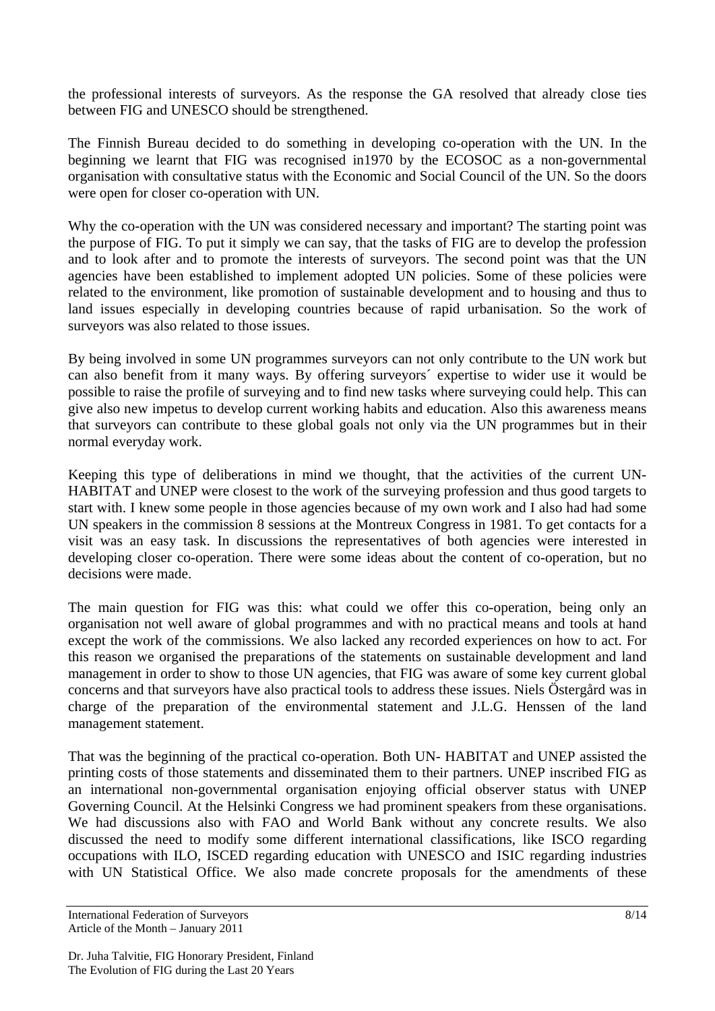the professional interests of surveyors. As the response the GA resolved that already close ties between FIG and UNESCO should be strengthened.

The Finnish Bureau decided to do something in developing co-operation with the UN. In the beginning we learnt that FIG was recognised in1970 by the ECOSOC as a non-governmental organisation with consultative status with the Economic and Social Council of the UN. So the doors were open for closer co-operation with UN.

Why the co-operation with the UN was considered necessary and important? The starting point was the purpose of FIG. To put it simply we can say, that the tasks of FIG are to develop the profession and to look after and to promote the interests of surveyors. The second point was that the UN agencies have been established to implement adopted UN policies. Some of these policies were related to the environment, like promotion of sustainable development and to housing and thus to land issues especially in developing countries because of rapid urbanisation. So the work of surveyors was also related to those issues.

By being involved in some UN programmes surveyors can not only contribute to the UN work but can also benefit from it many ways. By offering surveyors´ expertise to wider use it would be possible to raise the profile of surveying and to find new tasks where surveying could help. This can give also new impetus to develop current working habits and education. Also this awareness means that surveyors can contribute to these global goals not only via the UN programmes but in their normal everyday work.

Keeping this type of deliberations in mind we thought, that the activities of the current UN-HABITAT and UNEP were closest to the work of the surveying profession and thus good targets to start with. I knew some people in those agencies because of my own work and I also had had some UN speakers in the commission 8 sessions at the Montreux Congress in 1981. To get contacts for a visit was an easy task. In discussions the representatives of both agencies were interested in developing closer co-operation. There were some ideas about the content of co-operation, but no decisions were made.

The main question for FIG was this: what could we offer this co-operation, being only an organisation not well aware of global programmes and with no practical means and tools at hand except the work of the commissions. We also lacked any recorded experiences on how to act. For this reason we organised the preparations of the statements on sustainable development and land management in order to show to those UN agencies, that FIG was aware of some key current global concerns and that surveyors have also practical tools to address these issues. Niels Östergård was in charge of the preparation of the environmental statement and J.L.G. Henssen of the land management statement.

That was the beginning of the practical co-operation. Both UN- HABITAT and UNEP assisted the printing costs of those statements and disseminated them to their partners. UNEP inscribed FIG as an international non-governmental organisation enjoying official observer status with UNEP Governing Council. At the Helsinki Congress we had prominent speakers from these organisations. We had discussions also with FAO and World Bank without any concrete results. We also discussed the need to modify some different international classifications, like ISCO regarding occupations with ILO, ISCED regarding education with UNESCO and ISIC regarding industries with UN Statistical Office. We also made concrete proposals for the amendments of these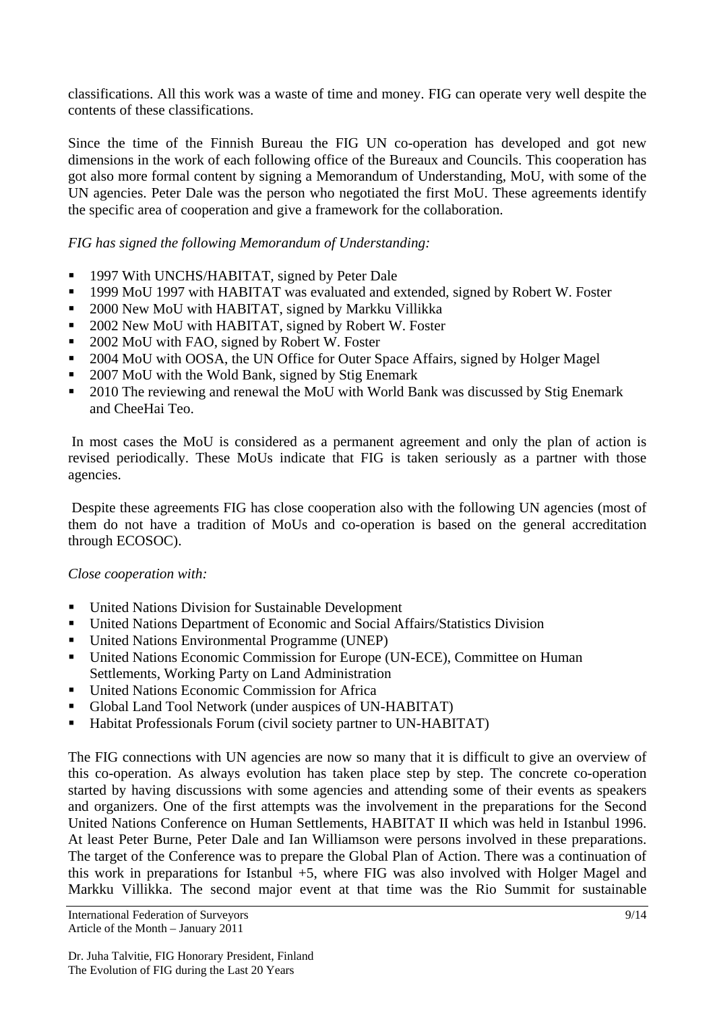classifications. All this work was a waste of time and money. FIG can operate very well despite the contents of these classifications.

Since the time of the Finnish Bureau the FIG UN co-operation has developed and got new dimensions in the work of each following office of the Bureaux and Councils. This cooperation has got also more formal content by signing a Memorandum of Understanding, MoU, with some of the UN agencies. Peter Dale was the person who negotiated the first MoU. These agreements identify the specific area of cooperation and give a framework for the collaboration.

## *FIG has signed the following Memorandum of Understanding:*

- <sup>1997</sup> With UNCHS/HABITAT, signed by Peter Dale
- <sup>1999</sup> MoU 1997 with HABITAT was evaluated and extended, signed by Robert W. Foster
- **2000 New MoU with HABITAT, signed by Markku Villikka**
- <sup>2002</sup> New MoU with HABITAT, signed by Robert W. Foster
- 2002 MoU with FAO, signed by Robert W. Foster
- <sup>2004</sup> MoU with OOSA, the UN Office for Outer Space Affairs, signed by Holger Magel
- 2007 MoU with the Wold Bank, signed by Stig Enemark
- <sup>2010</sup> The reviewing and renewal the MoU with World Bank was discussed by Stig Enemark and CheeHai Teo.

 In most cases the MoU is considered as a permanent agreement and only the plan of action is revised periodically. These MoUs indicate that FIG is taken seriously as a partner with those agencies.

 Despite these agreements FIG has close cooperation also with the following UN agencies (most of them do not have a tradition of MoUs and co-operation is based on the general accreditation through ECOSOC).

#### *Close cooperation with:*

- United Nations Division for Sustainable Development
- United Nations Department of Economic and Social Affairs/Statistics Division
- United Nations Environmental Programme (UNEP)
- United Nations Economic Commission for Europe (UN-ECE), Committee on Human Settlements, Working Party on Land Administration
- United Nations Economic Commission for Africa
- Global Land Tool Network (under auspices of UN-HABITAT)
- Habitat Professionals Forum (civil society partner to UN-HABITAT)

The FIG connections with UN agencies are now so many that it is difficult to give an overview of this co-operation. As always evolution has taken place step by step. The concrete co-operation started by having discussions with some agencies and attending some of their events as speakers and organizers. One of the first attempts was the involvement in the preparations for the Second United Nations Conference on Human Settlements, HABITAT II which was held in Istanbul 1996. At least Peter Burne, Peter Dale and Ian Williamson were persons involved in these preparations. The target of the Conference was to prepare the Global Plan of Action. There was a continuation of this work in preparations for Istanbul +5, where FIG was also involved with Holger Magel and Markku Villikka. The second major event at that time was the Rio Summit for sustainable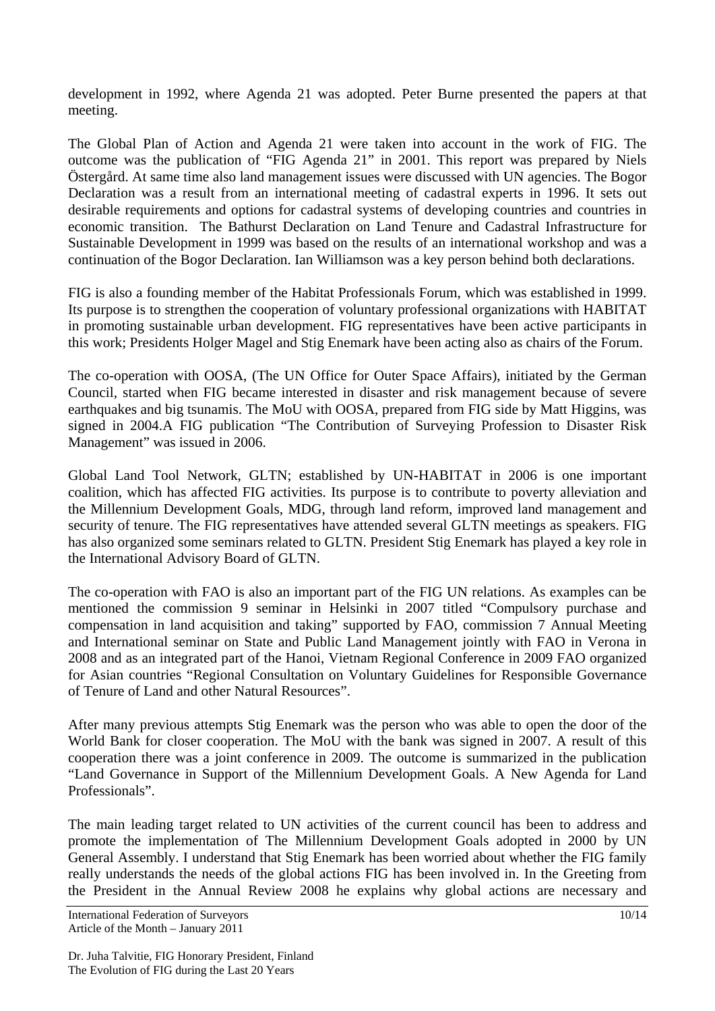development in 1992, where Agenda 21 was adopted. Peter Burne presented the papers at that meeting.

The Global Plan of Action and Agenda 21 were taken into account in the work of FIG. The outcome was the publication of "FIG Agenda 21" in 2001. This report was prepared by Niels Östergård. At same time also land management issues were discussed with UN agencies. The Bogor Declaration was a result from an international meeting of cadastral experts in 1996. It sets out desirable requirements and options for cadastral systems of developing countries and countries in economic transition. The Bathurst Declaration on Land Tenure and Cadastral Infrastructure for Sustainable Development in 1999 was based on the results of an international workshop and was a continuation of the Bogor Declaration. Ian Williamson was a key person behind both declarations.

FIG is also a founding member of the Habitat Professionals Forum, which was established in 1999. Its purpose is to strengthen the cooperation of voluntary professional organizations with HABITAT in promoting sustainable urban development. FIG representatives have been active participants in this work; Presidents Holger Magel and Stig Enemark have been acting also as chairs of the Forum.

The co-operation with OOSA, (The UN Office for Outer Space Affairs), initiated by the German Council, started when FIG became interested in disaster and risk management because of severe earthquakes and big tsunamis. The MoU with OOSA, prepared from FIG side by Matt Higgins, was signed in 2004.A FIG publication "The Contribution of Surveying Profession to Disaster Risk Management" was issued in 2006.

Global Land Tool Network, GLTN; established by UN-HABITAT in 2006 is one important coalition, which has affected FIG activities. Its purpose is to contribute to poverty alleviation and the Millennium Development Goals, MDG, through land reform, improved land management and security of tenure. The FIG representatives have attended several GLTN meetings as speakers. FIG has also organized some seminars related to GLTN. President Stig Enemark has played a key role in the International Advisory Board of GLTN.

The co-operation with FAO is also an important part of the FIG UN relations. As examples can be mentioned the commission 9 seminar in Helsinki in 2007 titled "Compulsory purchase and compensation in land acquisition and taking" supported by FAO, commission 7 Annual Meeting and International seminar on State and Public Land Management jointly with FAO in Verona in 2008 and as an integrated part of the Hanoi, Vietnam Regional Conference in 2009 FAO organized for Asian countries "Regional Consultation on Voluntary Guidelines for Responsible Governance of Tenure of Land and other Natural Resources".

After many previous attempts Stig Enemark was the person who was able to open the door of the World Bank for closer cooperation. The MoU with the bank was signed in 2007. A result of this cooperation there was a joint conference in 2009. The outcome is summarized in the publication "Land Governance in Support of the Millennium Development Goals. A New Agenda for Land Professionals".

The main leading target related to UN activities of the current council has been to address and promote the implementation of The Millennium Development Goals adopted in 2000 by UN General Assembly. I understand that Stig Enemark has been worried about whether the FIG family really understands the needs of the global actions FIG has been involved in. In the Greeting from the President in the Annual Review 2008 he explains why global actions are necessary and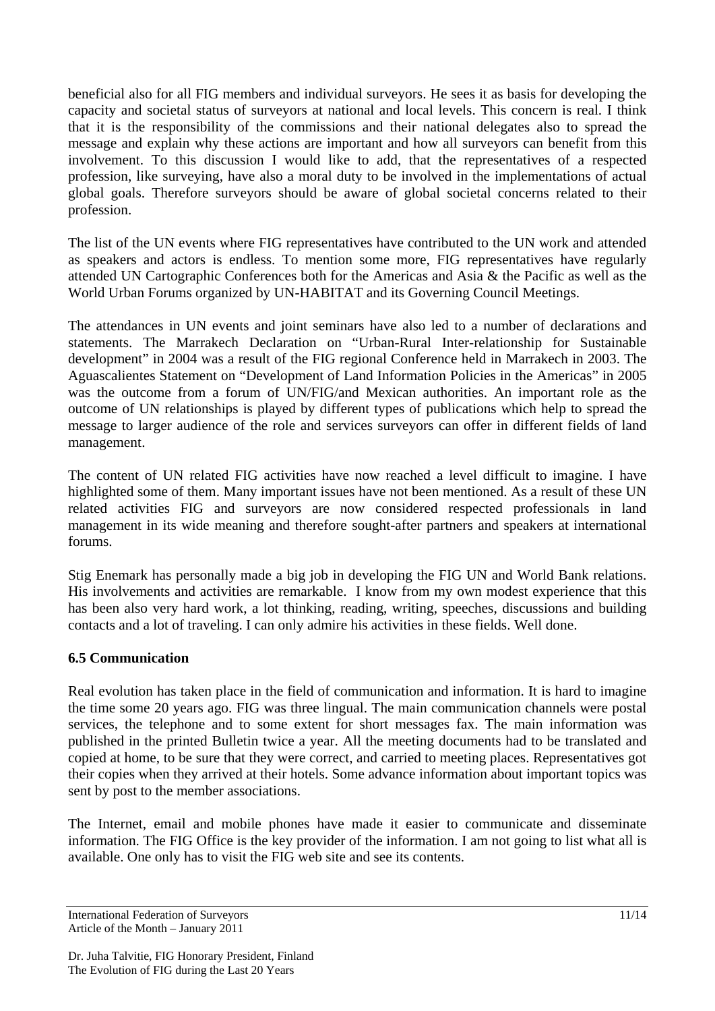beneficial also for all FIG members and individual surveyors. He sees it as basis for developing the capacity and societal status of surveyors at national and local levels. This concern is real. I think that it is the responsibility of the commissions and their national delegates also to spread the message and explain why these actions are important and how all surveyors can benefit from this involvement. To this discussion I would like to add, that the representatives of a respected profession, like surveying, have also a moral duty to be involved in the implementations of actual global goals. Therefore surveyors should be aware of global societal concerns related to their profession.

The list of the UN events where FIG representatives have contributed to the UN work and attended as speakers and actors is endless. To mention some more, FIG representatives have regularly attended UN Cartographic Conferences both for the Americas and Asia & the Pacific as well as the World Urban Forums organized by UN-HABITAT and its Governing Council Meetings.

The attendances in UN events and joint seminars have also led to a number of declarations and statements. The Marrakech Declaration on "Urban-Rural Inter-relationship for Sustainable development" in 2004 was a result of the FIG regional Conference held in Marrakech in 2003. The Aguascalientes Statement on "Development of Land Information Policies in the Americas" in 2005 was the outcome from a forum of UN/FIG/and Mexican authorities. An important role as the outcome of UN relationships is played by different types of publications which help to spread the message to larger audience of the role and services surveyors can offer in different fields of land management.

The content of UN related FIG activities have now reached a level difficult to imagine. I have highlighted some of them. Many important issues have not been mentioned. As a result of these UN related activities FIG and surveyors are now considered respected professionals in land management in its wide meaning and therefore sought-after partners and speakers at international forums.

Stig Enemark has personally made a big job in developing the FIG UN and World Bank relations. His involvements and activities are remarkable. I know from my own modest experience that this has been also very hard work, a lot thinking, reading, writing, speeches, discussions and building contacts and a lot of traveling. I can only admire his activities in these fields. Well done.

#### **6.5 Communication**

Real evolution has taken place in the field of communication and information. It is hard to imagine the time some 20 years ago. FIG was three lingual. The main communication channels were postal services, the telephone and to some extent for short messages fax. The main information was published in the printed Bulletin twice a year. All the meeting documents had to be translated and copied at home, to be sure that they were correct, and carried to meeting places. Representatives got their copies when they arrived at their hotels. Some advance information about important topics was sent by post to the member associations.

The Internet, email and mobile phones have made it easier to communicate and disseminate information. The FIG Office is the key provider of the information. I am not going to list what all is available. One only has to visit the FIG web site and see its contents.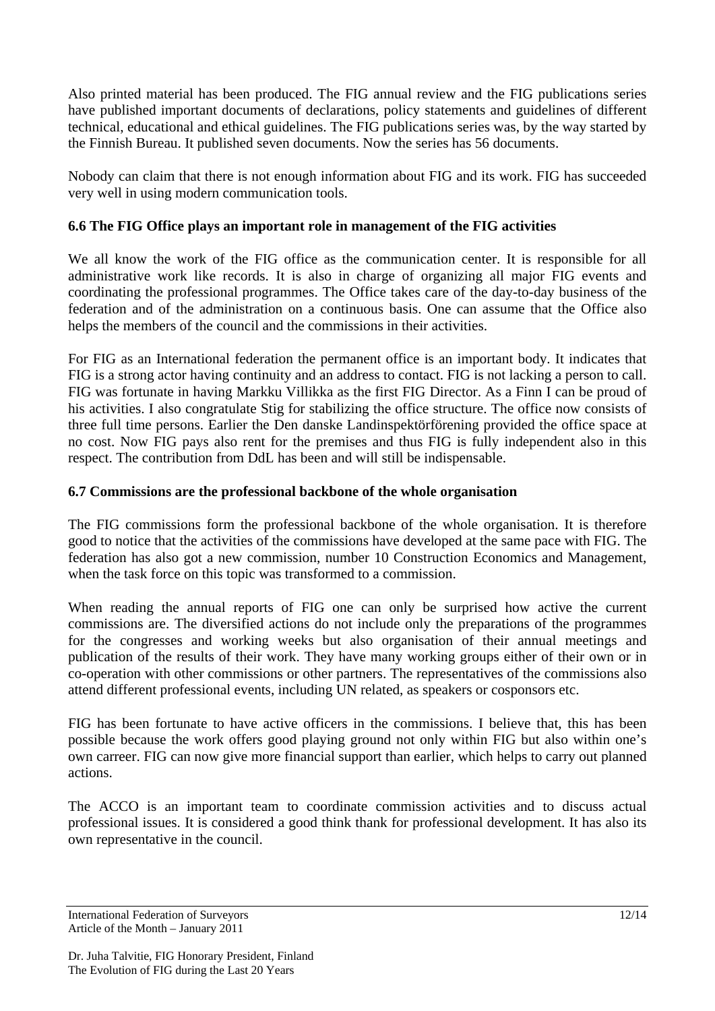Also printed material has been produced. The FIG annual review and the FIG publications series have published important documents of declarations, policy statements and guidelines of different technical, educational and ethical guidelines. The FIG publications series was, by the way started by the Finnish Bureau. It published seven documents. Now the series has 56 documents.

Nobody can claim that there is not enough information about FIG and its work. FIG has succeeded very well in using modern communication tools.

# **6.6 The FIG Office plays an important role in management of the FIG activities**

We all know the work of the FIG office as the communication center. It is responsible for all administrative work like records. It is also in charge of organizing all major FIG events and coordinating the professional programmes. The Office takes care of the day-to-day business of the federation and of the administration on a continuous basis. One can assume that the Office also helps the members of the council and the commissions in their activities.

For FIG as an International federation the permanent office is an important body. It indicates that FIG is a strong actor having continuity and an address to contact. FIG is not lacking a person to call. FIG was fortunate in having Markku Villikka as the first FIG Director. As a Finn I can be proud of his activities. I also congratulate Stig for stabilizing the office structure. The office now consists of three full time persons. Earlier the Den danske Landinspektörförening provided the office space at no cost. Now FIG pays also rent for the premises and thus FIG is fully independent also in this respect. The contribution from DdL has been and will still be indispensable.

# **6.7 Commissions are the professional backbone of the whole organisation**

The FIG commissions form the professional backbone of the whole organisation. It is therefore good to notice that the activities of the commissions have developed at the same pace with FIG. The federation has also got a new commission, number 10 Construction Economics and Management, when the task force on this topic was transformed to a commission.

When reading the annual reports of FIG one can only be surprised how active the current commissions are. The diversified actions do not include only the preparations of the programmes for the congresses and working weeks but also organisation of their annual meetings and publication of the results of their work. They have many working groups either of their own or in co-operation with other commissions or other partners. The representatives of the commissions also attend different professional events, including UN related, as speakers or cosponsors etc.

FIG has been fortunate to have active officers in the commissions. I believe that, this has been possible because the work offers good playing ground not only within FIG but also within one's own carreer. FIG can now give more financial support than earlier, which helps to carry out planned actions.

The ACCO is an important team to coordinate commission activities and to discuss actual professional issues. It is considered a good think thank for professional development. It has also its own representative in the council.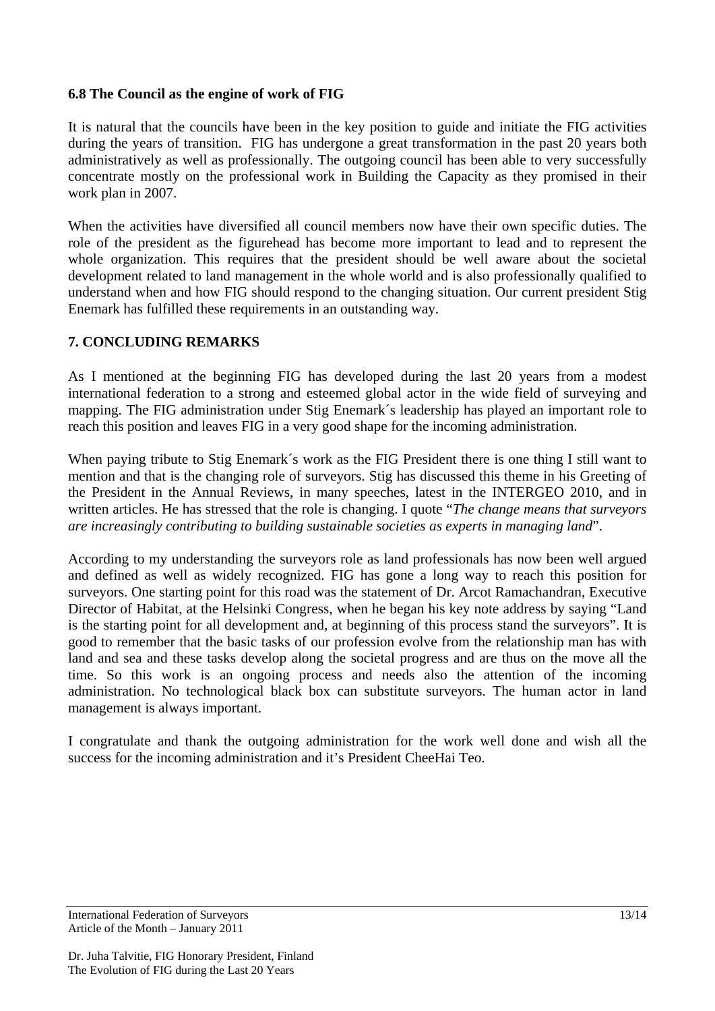#### **6.8 The Council as the engine of work of FIG**

It is natural that the councils have been in the key position to guide and initiate the FIG activities during the years of transition. FIG has undergone a great transformation in the past 20 years both administratively as well as professionally. The outgoing council has been able to very successfully concentrate mostly on the professional work in Building the Capacity as they promised in their work plan in 2007.

When the activities have diversified all council members now have their own specific duties. The role of the president as the figurehead has become more important to lead and to represent the whole organization. This requires that the president should be well aware about the societal development related to land management in the whole world and is also professionally qualified to understand when and how FIG should respond to the changing situation. Our current president Stig Enemark has fulfilled these requirements in an outstanding way.

#### **7. CONCLUDING REMARKS**

As I mentioned at the beginning FIG has developed during the last 20 years from a modest international federation to a strong and esteemed global actor in the wide field of surveying and mapping. The FIG administration under Stig Enemark´s leadership has played an important role to reach this position and leaves FIG in a very good shape for the incoming administration.

When paying tribute to Stig Enemark's work as the FIG President there is one thing I still want to mention and that is the changing role of surveyors. Stig has discussed this theme in his Greeting of the President in the Annual Reviews, in many speeches, latest in the INTERGEO 2010, and in written articles. He has stressed that the role is changing. I quote "*The change means that surveyors are increasingly contributing to building sustainable societies as experts in managing land*".

According to my understanding the surveyors role as land professionals has now been well argued and defined as well as widely recognized. FIG has gone a long way to reach this position for surveyors. One starting point for this road was the statement of Dr. Arcot Ramachandran, Executive Director of Habitat, at the Helsinki Congress, when he began his key note address by saying "Land is the starting point for all development and, at beginning of this process stand the surveyors". It is good to remember that the basic tasks of our profession evolve from the relationship man has with land and sea and these tasks develop along the societal progress and are thus on the move all the time. So this work is an ongoing process and needs also the attention of the incoming administration. No technological black box can substitute surveyors. The human actor in land management is always important.

I congratulate and thank the outgoing administration for the work well done and wish all the success for the incoming administration and it's President CheeHai Teo.